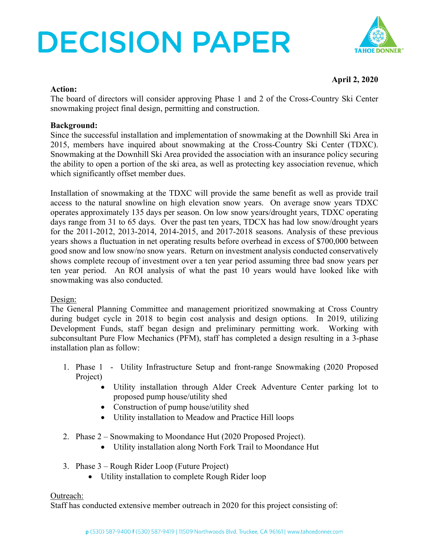# **DECISION PAPER**



### **April 2, 2020**

#### **Action:**

The board of directors will consider approving Phase 1 and 2 of the Cross-Country Ski Center snowmaking project final design, permitting and construction.

### **Background:**

Since the successful installation and implementation of snowmaking at the Downhill Ski Area in 2015, members have inquired about snowmaking at the Cross-Country Ski Center (TDXC). Snowmaking at the Downhill Ski Area provided the association with an insurance policy securing the ability to open a portion of the ski area, as well as protecting key association revenue, which which significantly offset member dues.

Installation of snowmaking at the TDXC will provide the same benefit as well as provide trail access to the natural snowline on high elevation snow years. On average snow years TDXC operates approximately 135 days per season. On low snow years/drought years, TDXC operating days range from 31 to 65 days. Over the past ten years, TDCX has had low snow/drought years for the 2011-2012, 2013-2014, 2014-2015, and 2017-2018 seasons. Analysis of these previous years shows a fluctuation in net operating results before overhead in excess of \$700,000 between good snow and low snow/no snow years. Return on investment analysis conducted conservatively shows complete recoup of investment over a ten year period assuming three bad snow years per ten year period. An ROI analysis of what the past 10 years would have looked like with snowmaking was also conducted.

#### Design:

The General Planning Committee and management prioritized snowmaking at Cross Country during budget cycle in 2018 to begin cost analysis and design options. In 2019, utilizing Development Funds, staff began design and preliminary permitting work. Working with subconsultant Pure Flow Mechanics (PFM), staff has completed a design resulting in a 3-phase installation plan as follow:

- 1. Phase 1 Utility Infrastructure Setup and front-range Snowmaking (2020 Proposed Project)
	- Utility installation through Alder Creek Adventure Center parking lot to proposed pump house/utility shed
	- Construction of pump house/utility shed
	- Utility installation to Meadow and Practice Hill loops
- 2. Phase 2 Snowmaking to Moondance Hut (2020 Proposed Project).
	- Utility installation along North Fork Trail to Moondance Hut
- 3. Phase 3 Rough Rider Loop (Future Project)
	- Utility installation to complete Rough Rider loop

### Outreach:

Staff has conducted extensive member outreach in 2020 for this project consisting of: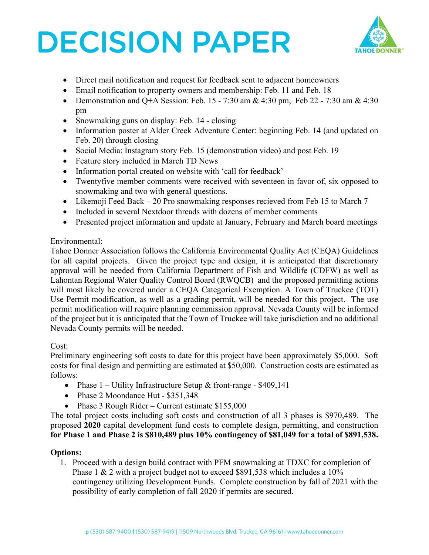# **DECISION PAPER**



- Direct mail notification and request for feedback sent to adjacent homeowners
- Email notification to property owners and membership: Feb. 11 and Feb. 18
- Demonstration and Q+A Session: Feb. 15 7:30 am & 4:30 pm, Feb 22 7:30 am & 4:30 pm
- Snowmaking guns on display: Feb. 14 closing
- Information poster at Alder Creek Adventure Center: beginning Feb. 14 (and updated on Feb. 20) through closing
- Social Media: Instagram story Feb. 15 (demonstration video) and post Feb. 19
- Feature story included in March TD News
- Information portal created on website with 'call for feedback'
- Twentyfive member comments were received with seventeen in favor of, six opposed to snowmaking and two with general questions.
- Likemoji Feed Back 20 Pro snowmaking responses recieved from Feb 15 to March 7
- Included in several Nextdoor threads with dozens of member comments
- Presented project information and update at January, February and March board meetings

## Environmental:

Tahoe Donner Association follows the California Environmental Quality Act (CEQA) Guidelines for all capital projects. Given the project type and design, it is anticipated that discretionary approval will be needed from California Department of Fish and Wildlife (CDFW) as well as Lahontan Regional Water Quality Control Board (RWQCB) and the proposed permitting actions will most likely be covered under a CEOA Categorical Exemption. A Town of Truckee (TOT) Use Permit modification, as well as a grading permit, will be needed for this project. The use permit modification will require planning commission approval. Nevada County will be informed of the project but it is anticipated that the Town of Truckee will take jurisdiction and no additional Nevada County permits will be needed.

### Cost:

Preliminary engineering soft costs to date for this project have been approximately \$5,000. Soft costs for final design and permitting are estimated at \$50,000. Construction costs are estimated as follows:

- Phase  $1$  Utility Infrastructure Setup & front-range \$409,141
- Phase 2 Moondance Hut \$351,348
- Phase 3 Rough Rider Current estimate \$155,000

The total project costs including soft costs and construction of all 3 phases is \$970,489. The proposed **2020** capital development fund costs to complete design, permitting, and construction **for Phase 1 and Phase 2 is \$810,489 plus 10% contingency of \$81,049 for a total of \$891,538.**

### **Options:**

1. Proceed with a design build contract with PFM snowmaking at TDXC for completion of Phase 1 & 2 with a project budget not to exceed \$891,538 which includes a 10% contingency utilizing Development Funds. Complete construction by fall of 2021 with the possibility of early completion of fall 2020 if permits are secured.